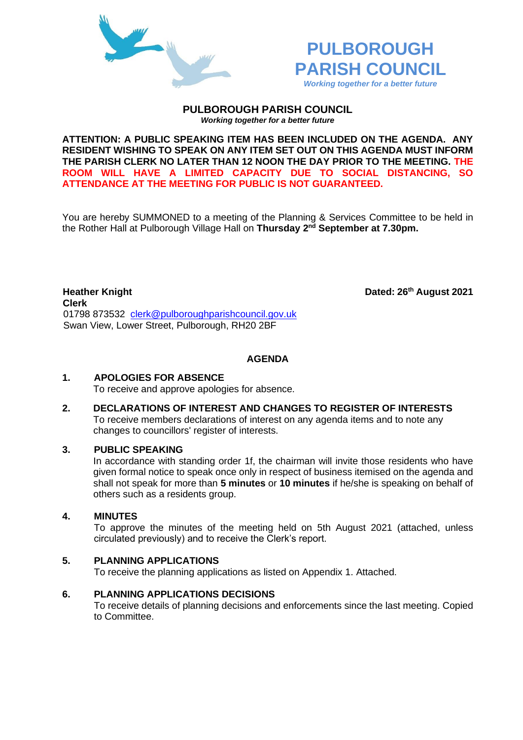



**th August 2021**

**PULBOROUGH PARISH COUNCIL** *Working together for a better future*

**ATTENTION: A PUBLIC SPEAKING ITEM HAS BEEN INCLUDED ON THE AGENDA. ANY RESIDENT WISHING TO SPEAK ON ANY ITEM SET OUT ON THIS AGENDA MUST INFORM THE PARISH CLERK NO LATER THAN 12 NOON THE DAY PRIOR TO THE MEETING. THE ROOM WILL HAVE A LIMITED CAPACITY DUE TO SOCIAL DISTANCING, SO ATTENDANCE AT THE MEETING FOR PUBLIC IS NOT GUARANTEED.**

You are hereby SUMMONED to a meeting of the Planning & Services Committee to be held in the Rother Hall at Pulborough Village Hall on **Thursday 2 nd September at 7.30pm.** 

**Heather Knight Clerk**  01798 873532 [clerk@pulboroughparishcouncil.gov.uk](mailto:clerk@pulboroughparishcouncil.gov.uk) Swan View, Lower Street, Pulborough, RH20 2BF

**AGENDA**

#### **1. APOLOGIES FOR ABSENCE**

To receive and approve apologies for absence.

**2. DECLARATIONS OF INTEREST AND CHANGES TO REGISTER OF INTERESTS** To receive members declarations of interest on any agenda items and to note any changes to councillors' register of interests.

#### **3. PUBLIC SPEAKING**

In accordance with standing order 1f, the chairman will invite those residents who have given formal notice to speak once only in respect of business itemised on the agenda and shall not speak for more than **5 minutes** or **10 minutes** if he/she is speaking on behalf of others such as a residents group.

#### **4. MINUTES**

To approve the minutes of the meeting held on 5th August 2021 (attached, unless circulated previously) and to receive the Clerk's report.

# **5. PLANNING APPLICATIONS**

To receive the planning applications as listed on Appendix 1. Attached.

#### **6. PLANNING APPLICATIONS DECISIONS**

To receive details of planning decisions and enforcements since the last meeting. Copied to Committee.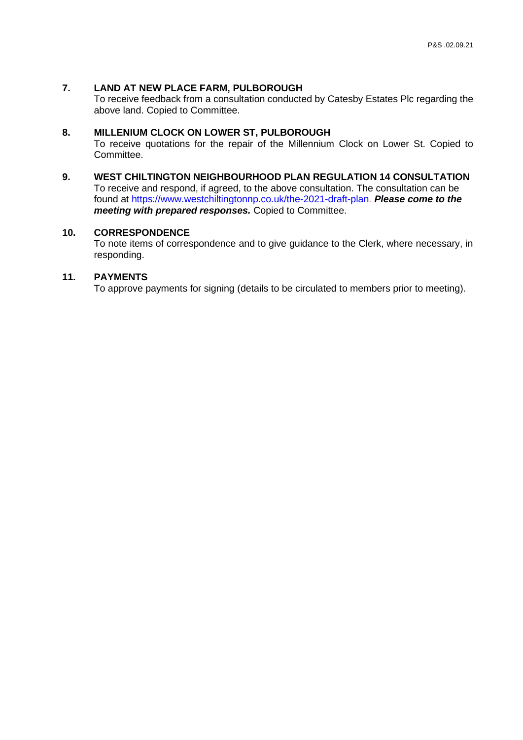# **7. LAND AT NEW PLACE FARM, PULBOROUGH**

To receive feedback from a consultation conducted by Catesby Estates Plc regarding the above land. Copied to Committee.

#### **8. MILLENIUM CLOCK ON LOWER ST, PULBOROUGH**

To receive quotations for the repair of the Millennium Clock on Lower St. Copied to Committee.

**9. WEST CHILTINGTON NEIGHBOURHOOD PLAN REGULATION 14 CONSULTATION** To receive and respond, if agreed, to the above consultation. The consultation can be found at [https://www.westchiltingtonnp.co.uk/the-2021-draft-plan.](https://www.westchiltingtonnp.co.uk/the-2021-draft-plan) *Please come to the meeting with prepared responses.* Copied to Committee.

#### **10. CORRESPONDENCE**

To note items of correspondence and to give guidance to the Clerk, where necessary, in responding.

#### **11. PAYMENTS**

To approve payments for signing (details to be circulated to members prior to meeting).